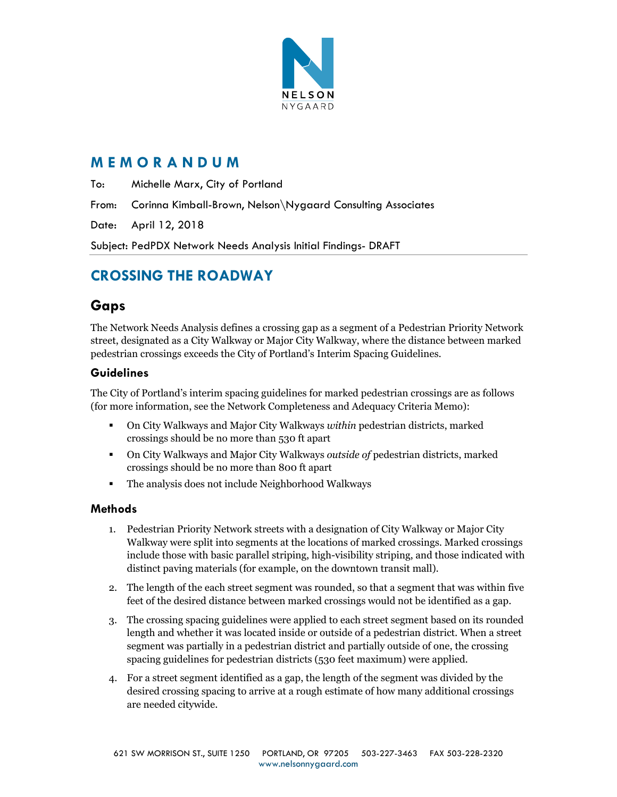

# **M E M O R A N D U M**

To: Michelle Marx, City of Portland

From: Corinna Kimball-Brown, Nelson\Nygaard Consulting Associates

Date: April 12, 2018

Subject: PedPDX Network Needs Analysis Initial Findings- DRAFT

# **CROSSING THE ROADWAY**

# **Gaps**

The Network Needs Analysis defines a crossing gap as a segment of a Pedestrian Priority Network street, designated as a City Walkway or Major City Walkway, where the distance between marked pedestrian crossings exceeds the City of Portland's Interim Spacing Guidelines.

## **Guidelines**

The City of Portland's interim spacing guidelines for marked pedestrian crossings are as follows (for more information, see the Network Completeness and Adequacy Criteria Memo):

- On City Walkways and Major City Walkways *within* pedestrian districts, marked crossings should be no more than 530 ft apart
- On City Walkways and Major City Walkways *outside of* pedestrian districts, marked crossings should be no more than 800 ft apart
- The analysis does not include Neighborhood Walkways

## **Methods**

- 1. Pedestrian Priority Network streets with a designation of City Walkway or Major City Walkway were split into segments at the locations of marked crossings. Marked crossings include those with basic parallel striping, high-visibility striping, and those indicated with distinct paving materials (for example, on the downtown transit mall).
- 2. The length of the each street segment was rounded, so that a segment that was within five feet of the desired distance between marked crossings would not be identified as a gap.
- 3. The crossing spacing guidelines were applied to each street segment based on its rounded length and whether it was located inside or outside of a pedestrian district. When a street segment was partially in a pedestrian district and partially outside of one, the crossing spacing guidelines for pedestrian districts (530 feet maximum) were applied.
- 4. For a street segment identified as a gap, the length of the segment was divided by the desired crossing spacing to arrive at a rough estimate of how many additional crossings are needed citywide.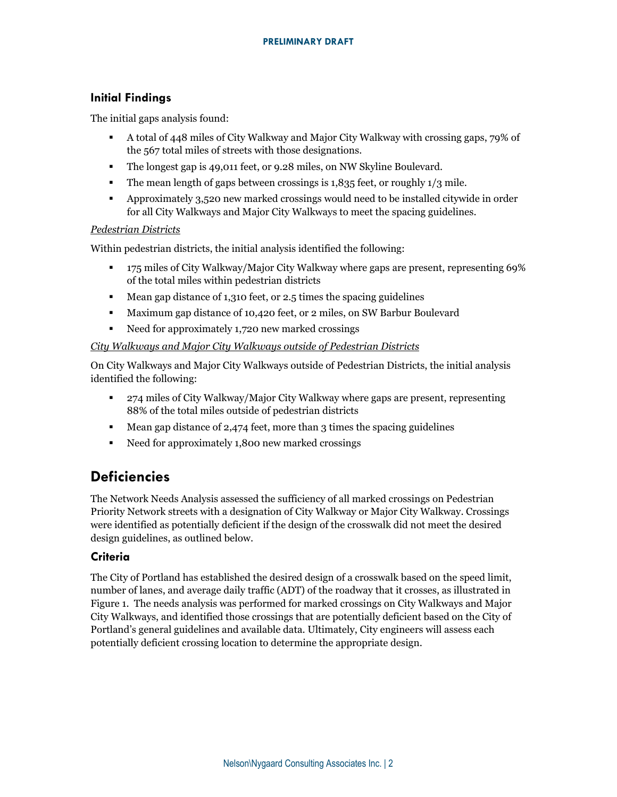## **Initial Findings**

The initial gaps analysis found:

- A total of 448 miles of City Walkway and Major City Walkway with crossing gaps, 79% of the 567 total miles of streets with those designations.
- The longest gap is 49,011 feet, or 9.28 miles, on NW Skyline Boulevard.
- **•** The mean length of gaps between crossings is 1,835 feet, or roughly 1/3 mile.
- Approximately 3,520 new marked crossings would need to be installed citywide in order for all City Walkways and Major City Walkways to meet the spacing guidelines.

### *Pedestrian Districts*

Within pedestrian districts, the initial analysis identified the following:

- 175 miles of City Walkway/Major City Walkway where gaps are present, representing 69% of the total miles within pedestrian districts
- Mean gap distance of 1,310 feet, or 2.5 times the spacing guidelines
- Maximum gap distance of 10,420 feet, or 2 miles, on SW Barbur Boulevard
- Need for approximately 1,720 new marked crossings

### *City Walkways and Major City Walkways outside of Pedestrian Districts*

On City Walkways and Major City Walkways outside of Pedestrian Districts, the initial analysis identified the following:

- 274 miles of City Walkway/Major City Walkway where gaps are present, representing 88% of the total miles outside of pedestrian districts
- $\blacksquare$  Mean gap distance of 2,474 feet, more than 3 times the spacing guidelines
- Need for approximately 1,800 new marked crossings

# **Deficiencies**

The Network Needs Analysis assessed the sufficiency of all marked crossings on Pedestrian Priority Network streets with a designation of City Walkway or Major City Walkway. Crossings were identified as potentially deficient if the design of the crosswalk did not meet the desired design guidelines, as outlined below.

## **Criteria**

The City of Portland has established the desired design of a crosswalk based on the speed limit, number of lanes, and average daily traffic (ADT) of the roadway that it crosses, as illustrated in Figure 1. The needs analysis was performed for marked crossings on City Walkways and Major City Walkways, and identified those crossings that are potentially deficient based on the City of Portland's general guidelines and available data. Ultimately, City engineers will assess each potentially deficient crossing location to determine the appropriate design.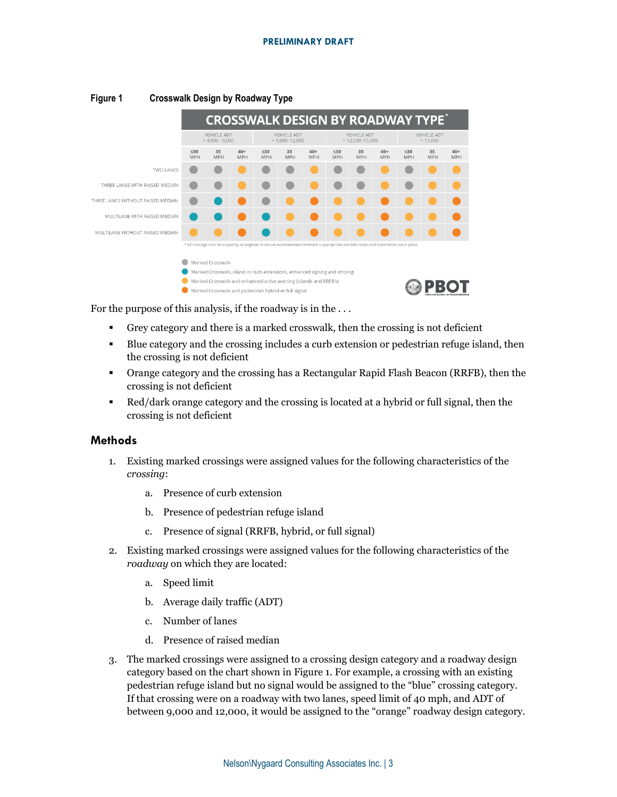#### **PRELIMINARY DRAFT**

|                                   |                                                                            |                  |                                          | <b>CROSSWALK DESIGN BY ROADWAY TYPE</b>                                                                                                   |                  |                                          |                         |                  |                               |                         |                  |                     |
|-----------------------------------|----------------------------------------------------------------------------|------------------|------------------------------------------|-------------------------------------------------------------------------------------------------------------------------------------------|------------------|------------------------------------------|-------------------------|------------------|-------------------------------|-------------------------|------------------|---------------------|
|                                   | <b>VEHICLE ADT</b><br>$>4.000 - 9.000$                                     |                  | <b>VEHICLE ADT</b><br>$> 9.000 - 12.000$ |                                                                                                                                           |                  | <b>VEHICLE ADT</b><br>$>$ 12,000 -15,000 |                         |                  | <b>VEHICLE ADT</b><br>>15,000 |                         |                  |                     |
|                                   | $\leq 30$<br><b>MPH</b>                                                    | 35<br><b>MPH</b> | $40+$<br><b>MPH</b>                      | $\leq 30$<br><b>MPH</b>                                                                                                                   | 35<br><b>MPH</b> | $40+$<br><b>MPH</b>                      | $\leq 30$<br><b>MPH</b> | 35<br><b>MPH</b> | $40+$<br><b>MPH</b>           | $\leq 30$<br><b>MPH</b> | 35<br><b>MPH</b> | $40+$<br><b>MPH</b> |
| <b>TWO LANES</b>                  |                                                                            |                  |                                          |                                                                                                                                           |                  |                                          |                         |                  |                               |                         |                  |                     |
| THREE LANES WITH RAISED MEDIAN    |                                                                            |                  |                                          |                                                                                                                                           |                  |                                          |                         |                  |                               |                         |                  |                     |
| THREE LANES WITHOUT RAISED MEDIAN |                                                                            |                  |                                          |                                                                                                                                           |                  |                                          |                         |                  |                               |                         |                  |                     |
| MULTILANE WITH RAISED MEDIAN      |                                                                            |                  |                                          |                                                                                                                                           |                  |                                          |                         |                  |                               |                         |                  |                     |
| MULTILANE WITHOUT RAISED MEDIAN   |                                                                            |                  |                                          |                                                                                                                                           |                  |                                          |                         |                  |                               |                         |                  |                     |
|                                   |                                                                            |                  |                                          | * All crossings must be scoped by an engineer to ensure recommended treatment is appropriate and ADA ramps and Illumination are in place. |                  |                                          |                         |                  |                               |                         |                  |                     |
|                                   |                                                                            | Marked Crosswalk |                                          |                                                                                                                                           |                  |                                          |                         |                  |                               |                         |                  |                     |
|                                   | Marked Crosswalk, island or curb extensions, enhanced signing and striping |                  |                                          |                                                                                                                                           |                  |                                          |                         |                  |                               |                         |                  |                     |
|                                   | Marked Crosswalk and enhanced/active warning (islands and RRFB's)          |                  |                                          |                                                                                                                                           |                  |                                          |                         |                  |                               |                         |                  |                     |
|                                   | Marked Crosswalk and pedestrian hybrid or full signal                      |                  |                                          |                                                                                                                                           |                  |                                          |                         |                  |                               |                         |                  |                     |

#### <span id="page-2-0"></span>**Figure 1 Crosswalk Design by Roadway Type**

For the purpose of this analysis, if the roadway is in the . . .

- Grey category and there is a marked crosswalk, then the crossing is not deficient
- Blue category and the crossing includes a curb extension or pedestrian refuge island, then the crossing is not deficient
- Orange category and the crossing has a Rectangular Rapid Flash Beacon (RRFB), then the crossing is not deficient
- Red/dark orange category and the crossing is located at a hybrid or full signal, then the crossing is not deficient

#### **Methods**

- 1. Existing marked crossings were assigned values for the following characteristics of the *crossing*:
	- a. Presence of curb extension
	- b. Presence of pedestrian refuge island
	- c. Presence of signal (RRFB, hybrid, or full signal)
- 2. Existing marked crossings were assigned values for the following characteristics of the *roadway* on which they are located:
	- a. Speed limit
	- b. Average daily traffic (ADT)
	- c. Number of lanes
	- d. Presence of raised median
- 3. The marked crossings were assigned to a crossing design category and a roadway design category based on the chart shown in [Figure 1.](#page-2-0) For example, a crossing with an existing pedestrian refuge island but no signal would be assigned to the "blue" crossing category. If that crossing were on a roadway with two lanes, speed limit of 40 mph, and ADT of between 9,000 and 12,000, it would be assigned to the "orange" roadway design category.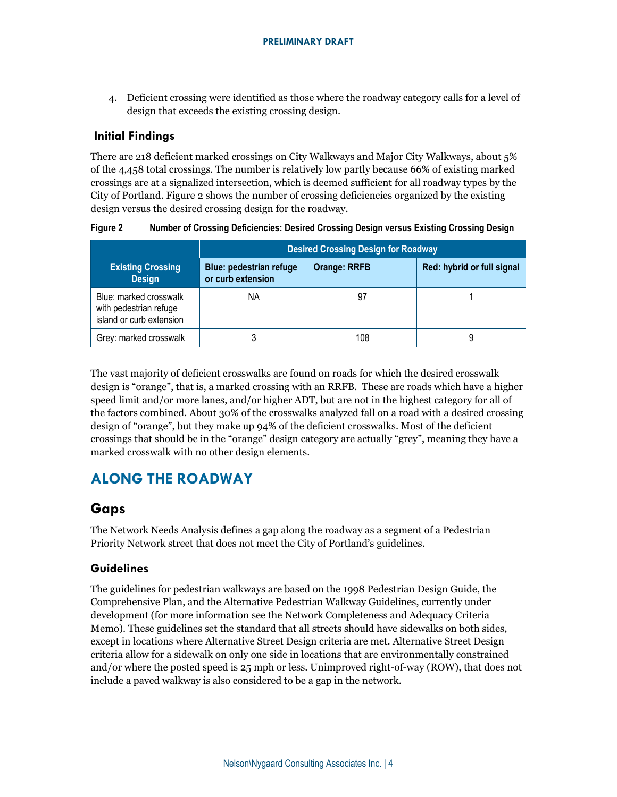4. Deficient crossing were identified as those where the roadway category calls for a level of design that exceeds the existing crossing design.

## **Initial Findings**

There are 218 deficient marked crossings on City Walkways and Major City Walkways, about 5% of the 4,458 total crossings. The number is relatively low partly because 66% of existing marked crossings are at a signalized intersection, which is deemed sufficient for all roadway types by the City of Portland. Figure 2 shows the number of crossing deficiencies organized by the existing design versus the desired crossing design for the roadway.

|                                                                              | <b>Desired Crossing Design for Roadway</b>          |                     |                            |  |  |  |  |
|------------------------------------------------------------------------------|-----------------------------------------------------|---------------------|----------------------------|--|--|--|--|
| <b>Existing Crossing</b><br><b>Design</b>                                    | <b>Blue: pedestrian refuge</b><br>or curb extension | <b>Orange: RRFB</b> | Red: hybrid or full signal |  |  |  |  |
| Blue: marked crosswalk<br>with pedestrian refuge<br>island or curb extension | ΝA                                                  | 97                  |                            |  |  |  |  |
| Grey: marked crosswalk                                                       |                                                     | 108                 |                            |  |  |  |  |

**Figure 2 Number of Crossing Deficiencies: Desired Crossing Design versus Existing Crossing Design**

The vast majority of deficient crosswalks are found on roads for which the desired crosswalk design is "orange", that is, a marked crossing with an RRFB. These are roads which have a higher speed limit and/or more lanes, and/or higher ADT, but are not in the highest category for all of the factors combined. About 30% of the crosswalks analyzed fall on a road with a desired crossing design of "orange", but they make up 94% of the deficient crosswalks. Most of the deficient crossings that should be in the "orange" design category are actually "grey", meaning they have a marked crosswalk with no other design elements.

# **ALONG THE ROADWAY**

# **Gaps**

The Network Needs Analysis defines a gap along the roadway as a segment of a Pedestrian Priority Network street that does not meet the City of Portland's guidelines.

### **Guidelines**

The guidelines for pedestrian walkways are based on the 1998 Pedestrian Design Guide, the Comprehensive Plan, and the Alternative Pedestrian Walkway Guidelines, currently under development (for more information see the Network Completeness and Adequacy Criteria Memo). These guidelines set the standard that all streets should have sidewalks on both sides, except in locations where Alternative Street Design criteria are met. Alternative Street Design criteria allow for a sidewalk on only one side in locations that are environmentally constrained and/or where the posted speed is 25 mph or less. Unimproved right-of-way (ROW), that does not include a paved walkway is also considered to be a gap in the network.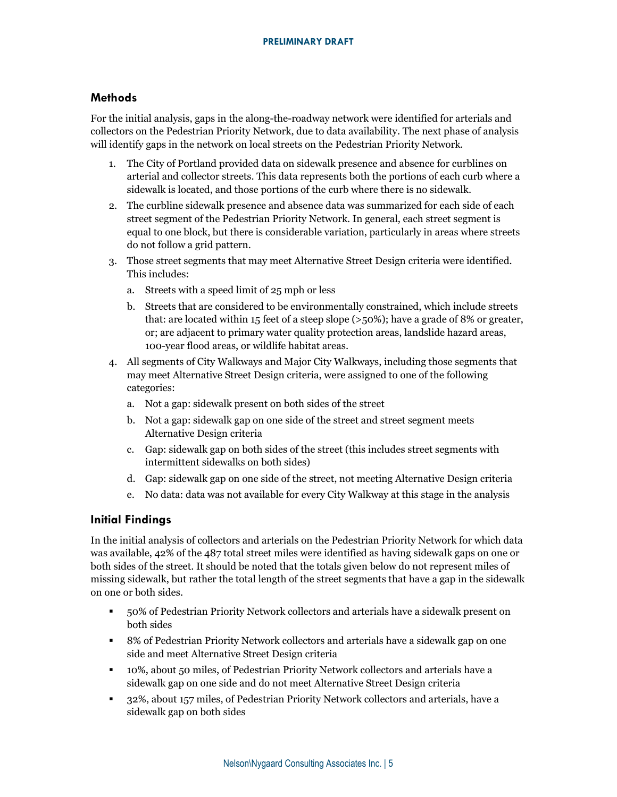### **Methods**

For the initial analysis, gaps in the along-the-roadway network were identified for arterials and collectors on the Pedestrian Priority Network, due to data availability. The next phase of analysis will identify gaps in the network on local streets on the Pedestrian Priority Network.

- 1. The City of Portland provided data on sidewalk presence and absence for curblines on arterial and collector streets. This data represents both the portions of each curb where a sidewalk is located, and those portions of the curb where there is no sidewalk.
- 2. The curbline sidewalk presence and absence data was summarized for each side of each street segment of the Pedestrian Priority Network. In general, each street segment is equal to one block, but there is considerable variation, particularly in areas where streets do not follow a grid pattern.
- 3. Those street segments that may meet Alternative Street Design criteria were identified. This includes:
	- a. Streets with a speed limit of 25 mph or less
	- b. Streets that are considered to be environmentally constrained, which include streets that: are located within 15 feet of a steep slope (>50%); have a grade of 8% or greater, or; are adjacent to primary water quality protection areas, landslide hazard areas, 100-year flood areas, or wildlife habitat areas.
- 4. All segments of City Walkways and Major City Walkways, including those segments that may meet Alternative Street Design criteria, were assigned to one of the following categories:
	- a. Not a gap: sidewalk present on both sides of the street
	- b. Not a gap: sidewalk gap on one side of the street and street segment meets Alternative Design criteria
	- c. Gap: sidewalk gap on both sides of the street (this includes street segments with intermittent sidewalks on both sides)
	- d. Gap: sidewalk gap on one side of the street, not meeting Alternative Design criteria
	- e. No data: data was not available for every City Walkway at this stage in the analysis

#### **Initial Findings**

In the initial analysis of collectors and arterials on the Pedestrian Priority Network for which data was available, 42% of the 487 total street miles were identified as having sidewalk gaps on one or both sides of the street. It should be noted that the totals given below do not represent miles of missing sidewalk, but rather the total length of the street segments that have a gap in the sidewalk on one or both sides.

- 50% of Pedestrian Priority Network collectors and arterials have a sidewalk present on both sides
- 8% of Pedestrian Priority Network collectors and arterials have a sidewalk gap on one side and meet Alternative Street Design criteria
- 10%, about 50 miles, of Pedestrian Priority Network collectors and arterials have a sidewalk gap on one side and do not meet Alternative Street Design criteria
- 32%, about 157 miles, of Pedestrian Priority Network collectors and arterials, have a sidewalk gap on both sides